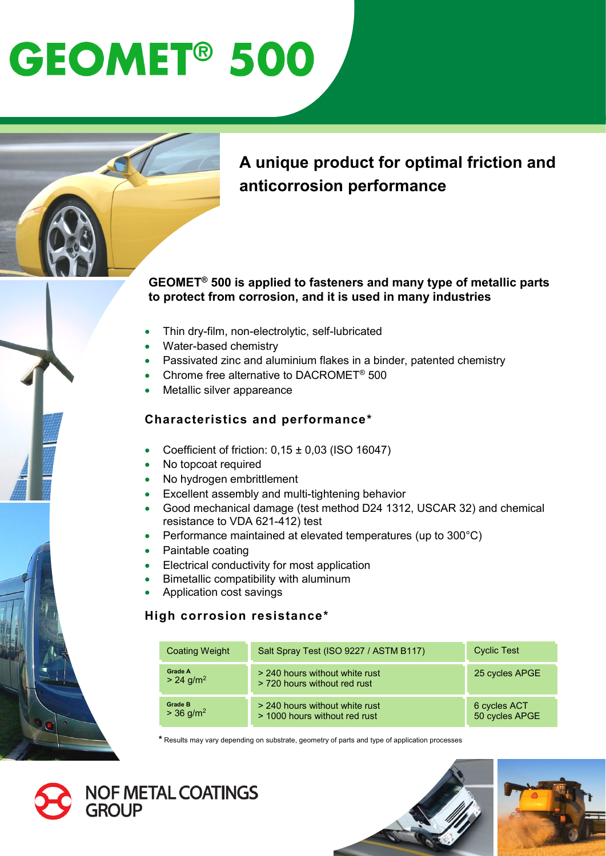# **GEOMET<sup>®</sup> 500**

### **A unique product for optimal friction and anticorrosion performance**

### **GEOMET® 500 is applied to fasteners and many type of metallic parts to protect from corrosion, and it is used in many industries**

- Thin dry-film, non-electrolytic, self-lubricated
- Water-based chemistry
- Passivated zinc and aluminium flakes in a binder, patented chemistry
- Chrome free alternative to DACROMET® 500
- Metallic silver appareance

### **Characteristics and performance\***

- Coefficient of friction:  $0,15 \pm 0,03$  (ISO 16047)
- No topcoat required
- No hydrogen embrittlement
- Excellent assembly and multi-tightening behavior
- Good mechanical damage (test method D24 1312, USCAR 32) and chemical resistance to VDA 621-412) test
- Performance maintained at elevated temperatures (up to 300°C)
- Paintable coating
- Electrical conductivity for most application
- Bimetallic compatibility with aluminum
- Application cost savings

### **High corrosion resistance\***

| <b>Coating Weight</b>                     | Salt Spray Test (ISO 9227 / ASTM B117)                          | <b>Cyclic Test</b>             |
|-------------------------------------------|-----------------------------------------------------------------|--------------------------------|
| Grade A<br>$> 24$ g/m <sup>2</sup>        | > 240 hours without white rust<br>> 720 hours without red rust  | 25 cycles APGE                 |
| <b>Grade B</b><br>$> 36$ g/m <sup>2</sup> | > 240 hours without white rust<br>> 1000 hours without red rust | 6 cycles ACT<br>50 cycles APGE |

**\*** Results may vary depending on substrate, geometry of parts and type of application processes